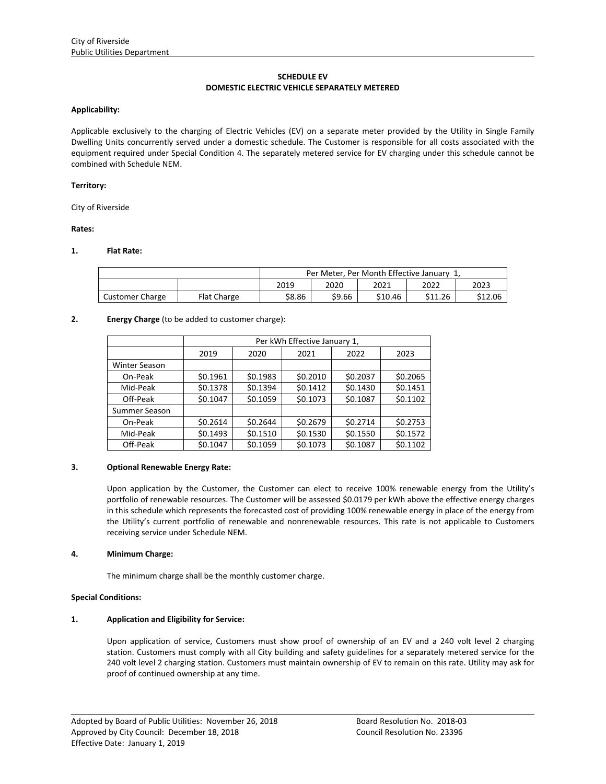# **SCHEDULE EV DOMESTIC ELECTRIC VEHICLE SEPARATELY METERED**

### **Applicability:**

Applicable exclusively to the charging of Electric Vehicles (EV) on a separate meter provided by the Utility in Single Family Dwelling Units concurrently served under a domestic schedule. The Customer is responsible for all costs associated with the equipment required under Special Condition 4. The separately metered service for EV charging under this schedule cannot be combined with Schedule NEM.

### **Territory:**

City of Riverside

### **Rates:**

## **1. Flat Rate:**

|                        | Per Meter, Per Month Effective January 1, |        |        |         |         |         |
|------------------------|-------------------------------------------|--------|--------|---------|---------|---------|
|                        |                                           | 2019   | 2020   | 2021    | 2022    | 2023    |
| <b>Customer Charge</b> | <b>Flat Charge</b>                        | \$8.86 | \$9.66 | \$10.46 | \$11.26 | \$12.06 |

# **2. Energy Charge** (to be added to customer charge):

|                      | Per kWh Effective January 1, |          |          |          |          |  |  |  |  |
|----------------------|------------------------------|----------|----------|----------|----------|--|--|--|--|
|                      | 2019                         | 2020     | 2021     | 2022     | 2023     |  |  |  |  |
| <b>Winter Season</b> |                              |          |          |          |          |  |  |  |  |
| On-Peak              | \$0.1961                     | \$0.1983 | \$0.2010 | \$0.2037 | \$0.2065 |  |  |  |  |
| Mid-Peak             | \$0.1378                     | \$0.1394 | \$0.1412 | \$0.1430 | \$0.1451 |  |  |  |  |
| Off-Peak             | \$0.1047                     | \$0.1059 | \$0.1073 | \$0.1087 | \$0.1102 |  |  |  |  |
| Summer Season        |                              |          |          |          |          |  |  |  |  |
| On-Peak              | \$0.2614                     | \$0.2644 | \$0.2679 | \$0.2714 | \$0.2753 |  |  |  |  |
| Mid-Peak             | \$0.1493                     | \$0.1510 | \$0.1530 | \$0.1550 | \$0.1572 |  |  |  |  |
| Off-Peak             | \$0.1047                     | \$0.1059 | \$0.1073 | \$0.1087 | \$0.1102 |  |  |  |  |

### **3. Optional Renewable Energy Rate:**

Upon application by the Customer, the Customer can elect to receive 100% renewable energy from the Utility's portfolio of renewable resources. The Customer will be assessed \$0.0179 per kWh above the effective energy charges in this schedule which represents the forecasted cost of providing 100% renewable energy in place of the energy from the Utility's current portfolio of renewable and nonrenewable resources. This rate is not applicable to Customers receiving service under Schedule NEM.

### **4. Minimum Charge:**

The minimum charge shall be the monthly customer charge.

### **Special Conditions:**

# **1. Application and Eligibility for Service:**

Upon application of service, Customers must show proof of ownership of an EV and a 240 volt level 2 charging station. Customers must comply with all City building and safety guidelines for a separately metered service for the 240 volt level 2 charging station. Customers must maintain ownership of EV to remain on this rate. Utility may ask for proof of continued ownership at any time.

<u> 1989 - Johann Stoff, amerikansk politiker (d. 1989)</u>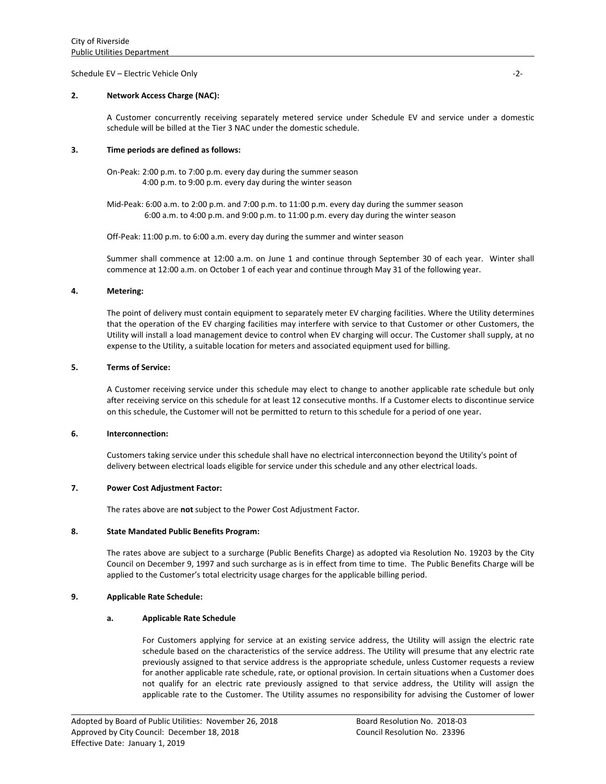### Schedule EV – Electric Vehicle Only **Business Contract Contract Contract Contract Contract Contract Contract Contract Contract Contract Contract Contract Contract Contract Contract Contract Contract Contract Contract Contr**

# **2. Network Access Charge (NAC):**

A Customer concurrently receiving separately metered service under Schedule EV and service under a domestic schedule will be billed at the Tier 3 NAC under the domestic schedule.

### **3. Time periods are defined as follows:**

On‐Peak: 2:00 p.m. to 7:00 p.m. every day during the summer season 4:00 p.m. to 9:00 p.m. every day during the winter season

Mid‐Peak: 6:00 a.m. to 2:00 p.m. and 7:00 p.m. to 11:00 p.m. every day during the summer season 6:00 a.m. to 4:00 p.m. and 9:00 p.m. to 11:00 p.m. every day during the winter season

Off-Peak: 11:00 p.m. to 6:00 a.m. every day during the summer and winter season

Summer shall commence at 12:00 a.m. on June 1 and continue through September 30 of each year. Winter shall commence at 12:00 a.m. on October 1 of each year and continue through May 31 of the following year.

## **4. Metering:**

The point of delivery must contain equipment to separately meter EV charging facilities. Where the Utility determines that the operation of the EV charging facilities may interfere with service to that Customer or other Customers, the Utility will install a load management device to control when EV charging will occur. The Customer shall supply, at no expense to the Utility, a suitable location for meters and associated equipment used for billing.

# **5. Terms of Service:**

A Customer receiving service under this schedule may elect to change to another applicable rate schedule but only after receiving service on this schedule for at least 12 consecutive months. If a Customer elects to discontinue service on this schedule, the Customer will not be permitted to return to this schedule for a period of one year.

### **6. Interconnection:**

Customers taking service under this schedule shall have no electrical interconnection beyond the Utility's point of delivery between electrical loads eligible for service under this schedule and any other electrical loads.

### **7. Power Cost Adjustment Factor:**

The rates above are **not** subject to the Power Cost Adjustment Factor.

### **8. State Mandated Public Benefits Program:**

The rates above are subject to a surcharge (Public Benefits Charge) as adopted via Resolution No. 19203 by the City Council on December 9, 1997 and such surcharge as is in effect from time to time. The Public Benefits Charge will be applied to the Customer's total electricity usage charges for the applicable billing period.

# **9. Applicable Rate Schedule:**

# **a. Applicable Rate Schedule**

For Customers applying for service at an existing service address, the Utility will assign the electric rate schedule based on the characteristics of the service address. The Utility will presume that any electric rate previously assigned to that service address is the appropriate schedule, unless Customer requests a review for another applicable rate schedule, rate, or optional provision. In certain situations when a Customer does not qualify for an electric rate previously assigned to that service address, the Utility will assign the applicable rate to the Customer. The Utility assumes no responsibility for advising the Customer of lower

<u> 1989 - Johann Stoff, amerikansk politiker (d. 1989)</u>